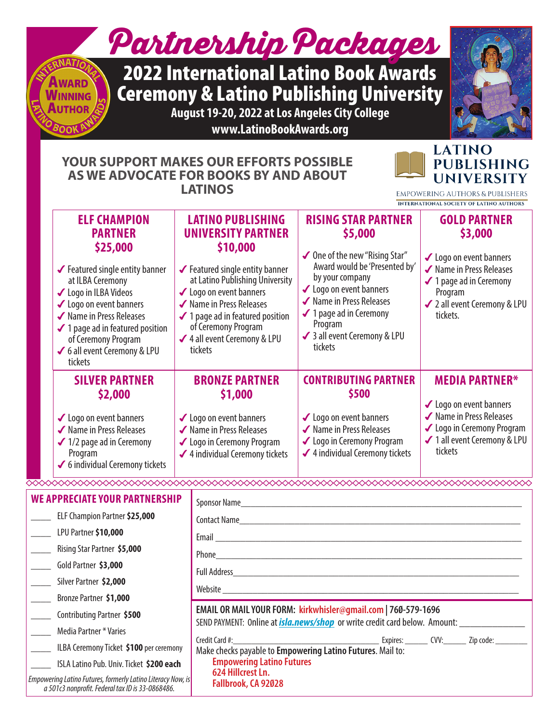# Partnership Packages

## 2022 International Latino Book Awards Ceremony & Latino Publishing University

**August 19-20, 2022 at Los Angeles City College www.LatinoBookAwards.org**

#### **YOUR SUPPORT MAKES OUR EFFORTS POSSIBLE AS WE ADVOCATE FOR BOOKS BY AND ABOUT LATINOS**



**EMPOWERING AUTHORS & PUBLISHERS** INTERNATIONAL SOCIETY OF LATINO AUTHORS

|  | <b>ELF CHAMPION</b><br><b>PARTNER</b><br>\$25,000<br>✔ Featured single entity banner<br>at ILBA Ceremony<br>✔ Logo in ILBA Videos<br>✔ Logo on event banners<br>✔ Name in Press Releases | <b>LATINO PUBLISHING</b><br><b>UNIVERSITY PARTNER</b><br>\$10,000<br>✔ Featured single entity banner<br>at Latino Publishing University<br>✔ Logo on event banners<br>✔ Name in Press Releases<br>$\checkmark$ 1 page ad in featured position<br>of Ceremony Program<br>✔ 4 all event Ceremony & LPU<br>tickets |                                                                                                                                              | <b>RISING STAR PARTNER</b><br>\$5,000<br>✔ One of the new "Rising Star"<br>Award would be 'Presented by'<br>by your company<br>✔ Logo on event banners<br>✔ Name in Press Releases<br>✔ 1 page ad in Ceremony | <b>GOLD PARTNER</b><br>\$3,000<br>✔ Logo on event banners<br>✔ Name in Press Releases<br>✔ 1 page ad in Ceremony<br>Program<br>✔ 2 all event Ceremony & LPU<br>tickets. |
|--|------------------------------------------------------------------------------------------------------------------------------------------------------------------------------------------|-----------------------------------------------------------------------------------------------------------------------------------------------------------------------------------------------------------------------------------------------------------------------------------------------------------------|----------------------------------------------------------------------------------------------------------------------------------------------|---------------------------------------------------------------------------------------------------------------------------------------------------------------------------------------------------------------|-------------------------------------------------------------------------------------------------------------------------------------------------------------------------|
|  | $\checkmark$ 1 page ad in featured position<br>of Ceremony Program<br>✔ 6 all event Ceremony & LPU<br>tickets                                                                            |                                                                                                                                                                                                                                                                                                                 |                                                                                                                                              | Program<br>✔ 3 all event Ceremony & LPU<br>tickets                                                                                                                                                            |                                                                                                                                                                         |
|  | <b>SILVER PARTNER</b>                                                                                                                                                                    | <b>BRONZE PARTNER</b><br>\$1,000<br>✔ Logo on event banners<br>✔ Name in Press Releases<br>✔ Logo in Ceremony Program<br>✔ 4 individual Ceremony tickets                                                                                                                                                        |                                                                                                                                              | <b>CONTRIBUTING PARTNER</b>                                                                                                                                                                                   | <b>MEDIA PARTNER*</b>                                                                                                                                                   |
|  | \$2,000<br>✔ Logo on event banners<br>✔ Name in Press Releases<br>$\checkmark$ 1/2 page ad in Ceremony<br>Program<br>✔ 6 individual Ceremony tickets                                     |                                                                                                                                                                                                                                                                                                                 |                                                                                                                                              | \$500<br>✔ Logo on event banners<br>✔ Name in Press Releases<br>✔ Logo in Ceremony Program<br>✔ 4 individual Ceremony tickets                                                                                 | ✔ Logo on event banners<br>✔ Name in Press Releases<br>✔ Logo in Ceremony Program<br>✔ 1 all event Ceremony & LPU<br>tickets                                            |
|  |                                                                                                                                                                                          |                                                                                                                                                                                                                                                                                                                 |                                                                                                                                              |                                                                                                                                                                                                               |                                                                                                                                                                         |
|  | WE APPRECIATE YOUR PARTNERSHIP                                                                                                                                                           |                                                                                                                                                                                                                                                                                                                 | Sponsor Name                                                                                                                                 |                                                                                                                                                                                                               |                                                                                                                                                                         |
|  | ELF Champion Partner \$25,000                                                                                                                                                            |                                                                                                                                                                                                                                                                                                                 | <b>Contact Name</b><br><u> 1980 - Jan Barbara, manazarta da kasas da shekara 1980 - Andrea Santa Barbara a Santa Barbara a Santa Barbara</u> |                                                                                                                                                                                                               |                                                                                                                                                                         |
|  | LPU Partner \$10,000                                                                                                                                                                     |                                                                                                                                                                                                                                                                                                                 | Email                                                                                                                                        |                                                                                                                                                                                                               |                                                                                                                                                                         |

\_\_\_\_ Rising Star Partner **\$5,000**

\_\_\_\_ Gold Partner **\$3,000**

\_\_\_\_ Silver Partner **\$2,000**

\_\_\_\_ Bronze Partner **\$1,000**

\_\_\_\_ Contributing Partner **\$500**

**\_\_\_\_** Media Partner \* Varies

\_\_\_\_ ILBA Ceremony Ticket **\$100** per ceremony

\_\_\_\_ ISLA Latino Pub. Univ. Ticket **\$200 each**

**Fallbrook, CA 92028** *Empowering Latino Futures, formerly Latino Literacy Now, is a 501c3 nonprofit. Federal tax ID is 33-0868486.*

Make checks payable to **Empowering Latino Futures**. Mail to: **Empowering Latino Futures 624 Hillcrest Ln.**

**EMAIL OR MAIL YOUR FORM: kirkwhisler@gmail.com | 760-579-1696**

Full Address

Phone\_\_\_\_\_\_\_\_\_\_\_\_\_\_\_\_\_\_\_\_\_\_\_\_\_\_\_\_\_\_\_\_\_\_\_\_\_\_\_\_\_\_\_\_\_\_\_\_\_\_\_\_\_\_\_\_\_\_\_\_\_

Website \_\_\_\_\_\_\_\_\_\_\_\_\_\_\_\_\_\_\_\_\_\_\_\_\_\_\_\_\_\_\_\_\_\_\_\_\_\_\_\_\_\_\_\_\_\_\_\_\_\_\_\_\_\_\_\_\_\_\_

SEND PAYMENT: Online at *isla.news/shop* or write credit card below. Amount:

Credit Card #:\_\_\_\_\_\_\_\_\_\_\_\_\_\_\_\_\_\_\_\_\_\_\_\_\_\_\_\_\_\_\_\_ Expires: \_\_\_\_\_ CVV:\_\_\_\_\_ Zip code: \_\_\_\_\_\_\_